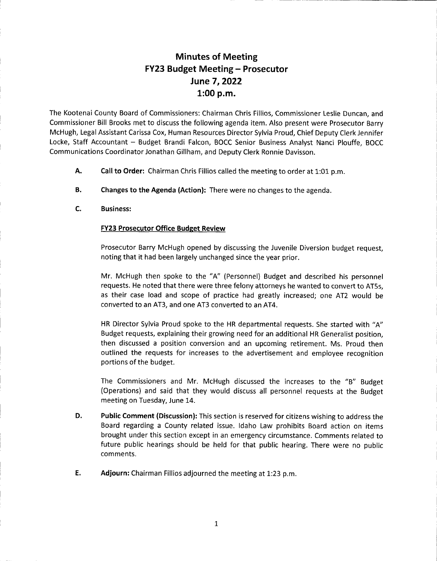## Minutes of Meeting FY23 Budget Meeting - Prosecutor June 7, 2022 1:00 p.m.

The Kootenai County Board of Commissioners: Chairman Chris Fillios, Commissioner Leslie Duncan, and Commissioner Bill Brooks met to discuss the following agenda item. Also present were Prosecutor Barry McHugh, Legal Assistant Carissa Cox, Human Resources Director Sylvia Proud, Chief Deputy Clerk Jennifer Locke, Staff Accountant - Budget Brandi Falcon, BOCC Senior Business Analyst Nanci Plouffe, BOCC Communications Coordinator Jonathan Gillham, and Deputy Clerk Ronnie Davisson.

- Call to Order: Chairman Chris Fillios called the meeting to order at 1:01 p.m. A.
- Changes to the Agenda (Action): There were no changes to the agenda. B.
- Business: c.

## FY23 Prosecutor Office Budget Review

Prosecutor Barry McHugh opened by discussing the Juvenile Diversion budget request, noting that it had been largely unchanged since the year prior.

Mr. McHugh then spoke to the "A" (Personnel) Budget and described his personnel requests. He noted that there were three felony attorneys he wanted to convert to ATss, as their case load and scope of practice had greatly increased; one AT2 would be converted to an AT3, and one AT3 converted to an AT4.

HR Director Sylvia Proud spoke to the HR departmental requests. She started with "A" Budget requests, explaining their growing need for an additional HR Generalist position, then discussed a position conversion and an upcoming retirement. Ms. Proud then outlined the requests for increases to the advertisement and employee recognition portions of the budget.

The Commissioners and Mr. McHugh discussed the increases to the "B" Budget (Operations) and said that they would discuss all personnel requests at the Budget meeting on Tuesday, June 14.

- D. Public Comment (Discussion): This section is reserved for citizens wishing to address the Board regarding a County related issue. ldaho Law prohibits Board action on items brought under this section except in an emergency circumstance. Comments related to future public hearings should be held for that public hearing. There were no public comments.
- E. Adjourn: Chairman Fillios adjourned the meeting at 1:23 p.m